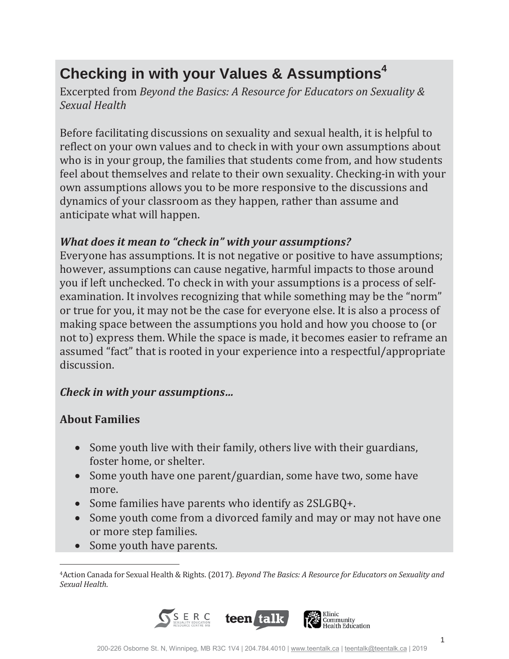# **Checking in with your Values & Assumptions<sup>4</sup>**

*Beyond the Basics: A Resource for Educators on Sexuality & Sexual Health*

Before facilitating discussions on sexuality and sexual health, it is helpful to reflect on your own values and to check in with your own assumptions about who is in your group, the families that students come from, and how students feel about themselves and relate to their own sexuality. Checking-in with your own assumptions allows you to be more responsive to the discussions and dynamics of your classroom as they happen, rather than assume and anticipate what will happen.

### *What does it mean to "check in" with your assumptions?*

Everyone has assumptions. It is not negative or positive to have assumptions; however, assumptions can cause negative, harmful impacts to those around you if left unchecked. To check in with your assumptions is a process of selfexamination. It involves recognizing that while something may be the "norm" or true for you, it may not be the case for everyone else. It is also a process of making space between the assumptions you hold and how you choose to (or not to) express them. While the space is made, it becomes easier to reframe an assumed "fact" that is rooted in your experience into a respectful/appropriate discussion.

#### *Check in with your assumptions…*

#### **About Families**

- Some youth live with their family, others live with their guardians, foster home, or shelter.
- Some youth have one parent/guardian, some have two, some have more.
- Some families have parents who identify as 2SLGBQ+.
- Some youth come from a divorced family and may or may not have one or more step families.
- Some youth have parents.

<sup>&</sup>lt;sup>4</sup> Action Canada for Sexual Health & Rights. (2017). Beyond The Basics: A Resource for Educators on Sexuality and *Sexual Health*.

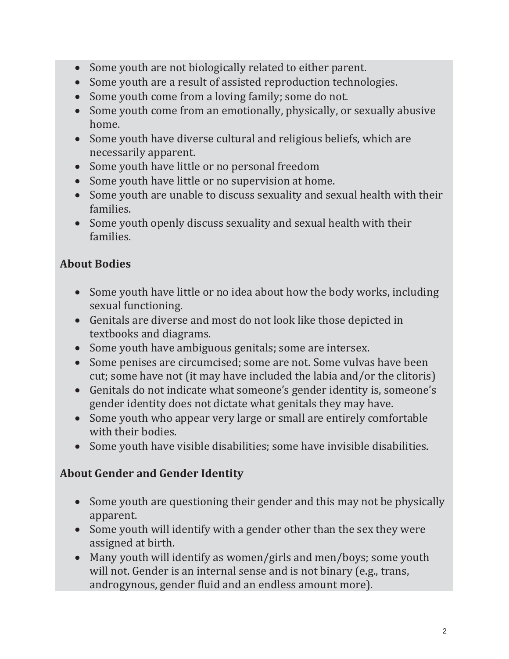- Some youth are not biologically related to either parent.
- Some youth are a result of assisted reproduction technologies.
- Some youth come from a loving family; some do not.
- Some youth come from an emotionally, physically, or sexually abusive home.
- Some youth have diverse cultural and religious beliefs, which are necessarily apparent.
- Some youth have little or no personal freedom
- Some youth have little or no supervision at home.
- Some youth are unable to discuss sexuality and sexual health with their families.
- Some youth openly discuss sexuality and sexual health with their families.

# **About Bodies**

- Some youth have little or no idea about how the body works, including sexual functioning.
- Genitals are diverse and most do not look like those depicted in textbooks and diagrams.
- Some youth have ambiguous genitals; some are intersex.
- Some penises are circumcised; some are not. Some vulvas have been cut; some have not (it may have included the labia and/or the clitoris)
- Genitals do not indicate what someone's gender identity is, someone's gender identity does not dictate what genitals they may have.
- Some youth who appear very large or small are entirely comfortable with their bodies.
- Some youth have visible disabilities; some have invisible disabilities.

# **About Gender and Gender Identity**

- Some youth are questioning their gender and this may not be physically apparent.
- Some youth will identify with a gender other than the sex they were assigned at birth.
- Many youth will identify as women/girls and men/boys; some youth will not. Gender is an internal sense and is not binary (e.g., trans, androgynous, gender fluid and an endless amount more).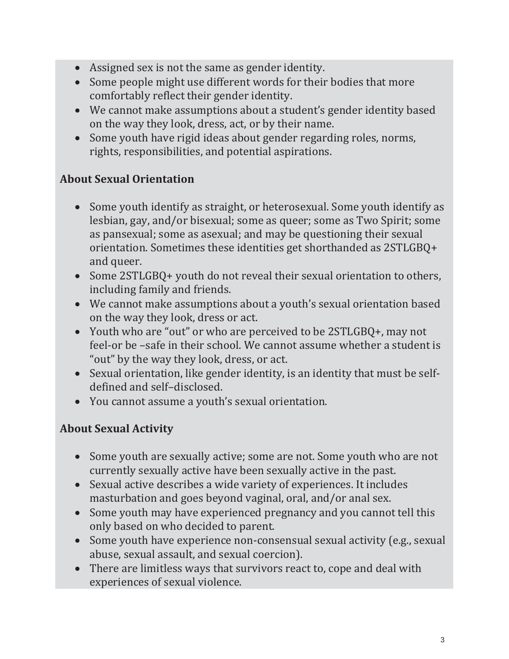- Assigned sex is not the same as gender identity.
- Some people might use different words for their bodies that more comfortably reflect their gender identity.
- We cannot make assumptions about a student's gender identity based on the way they look, dress, act, or by their name.
- Some youth have rigid ideas about gender regarding roles, norms, rights, responsibilities, and potential aspirations.

# **About Sexual Orientation**

- Some youth identify as straight, or heterosexual. Some youth identify as lesbian, gay, and/or bisexual; some as queer; some as Two Spirit; some as pansexual; some as asexual; and may be questioning their sexual orientation. Sometimes these identities get shorthanded as 2STLGBQ+ and queer.
- Some 2STLGBQ+ youth do not reveal their sexual orientation to others, including family and friends.
- We cannot make assumptions about a youth's sexual orientation based on the way they look, dress or act.
- Youth who are "out" or who are perceived to be 2STLGBQ+, may not feel-or be -safe in their school. We cannot assume whether a student is "out" by the way they look, dress, or act.
- Sexual orientation, like gender identity, is an identity that must be selfdefined and self-disclosed.
- You cannot assume a youth's sexual orientation.

# **About Sexual Activity**

- Some youth are sexually active; some are not. Some youth who are not currently sexually active have been sexually active in the past.
- Sexual active describes a wide variety of experiences. It includes masturbation and goes beyond vaginal, oral, and/or anal sex.
- Some youth may have experienced pregnancy and you cannot tell this only based on who decided to parent.
- Some youth have experience non-consensual sexual activity (e.g., sexual abuse, sexual assault, and sexual coercion).
- There are limitless ways that survivors react to, cope and deal with experiences of sexual violence.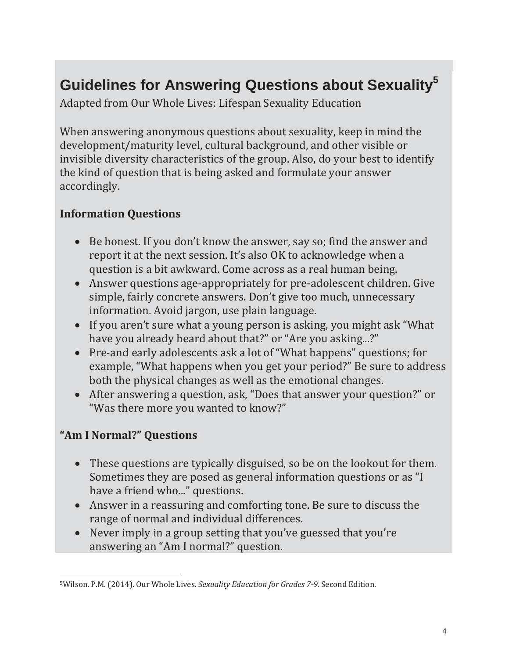# Guidelines for Answering Questions about Sexuality<sup>5</sup>

Adapted from Our Whole Lives: Lifespan Sexuality Education

When answering anonymous questions about sexuality, keep in mind the development/maturity level, cultural background, and other visible or invisible diversity characteristics of the group. Also, do your best to identify the kind of question that is being asked and formulate your answer accordingly.

## **Information Questions**

- Be honest. If you don't know the answer, say so; find the answer and report it at the next session. It's also OK to acknowledge when a question is a bit awkward. Come across as a real human being.
- Answer questions age-appropriately for pre-adolescent children. Give simple, fairly concrete answers. Don't give too much, unnecessary information. Avoid jargon, use plain language.
- If you aren't sure what a young person is asking, you might ask "What" have you already heard about that?" or "Are you asking...?"
- Pre-and early adolescents ask a lot of "What happens" questions; for example, "What happens when you get your period?" Be sure to address both the physical changes as well as the emotional changes.
- After answering a question, ask, "Does that answer your question?" or "Was there more you wanted to know?"

# "Am I Normal?" Questions

- These questions are typically disguised, so be on the lookout for them. Sometimes they are posed as general information questions or as "I have a friend who..." questions.
- Answer in a reassuring and comforting tone. Be sure to discuss the range of normal and individual differences.
- Never imply in a group setting that you've guessed that you're answering an "Am I normal?" question.

<sup>&</sup>lt;sup>5</sup>Wilson. P.M. (2014). Our Whole Lives. Sexuality Education for Grades 7-9. Second Edition.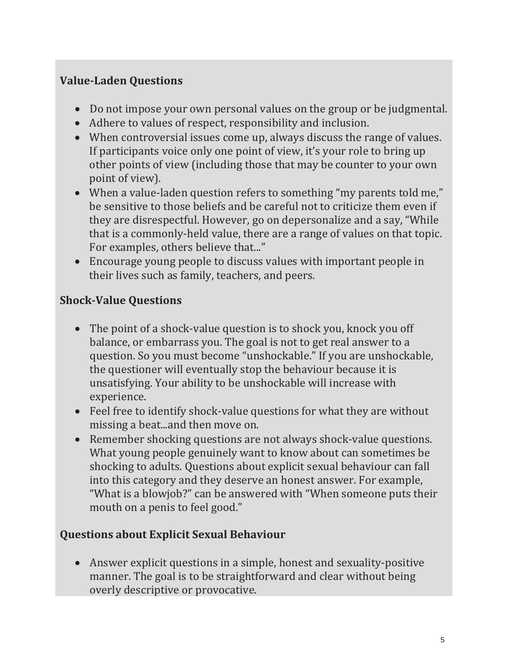# **ValueǦLaden Questions**

- Do not impose your own personal values on the group or be judgmental.
- Adhere to values of respect, responsibility and inclusion.
- When controversial issues come up, always discuss the range of values. If participants voice only one point of view, it's your role to bring up other points of view (including those that may be counter to your own point of view).
- When a value-laden question refers to something "my parents told me," be sensitive to those beliefs and be careful not to criticize them even if they are disrespectful. However, go on depersonalize and a say, "While" that is a commonly-held value, there are a range of values on that topic. For examples, others believe that..."
- Encourage young people to discuss values with important people in their lives such as family, teachers, and peers.

### **ShockǦValue Questions**

- The point of a shock-value question is to shock you, knock you off balance, or embarrass you. The goal is not to get real answer to a question. So you must become "unshockable." If you are unshockable, the questioner will eventually stop the behaviour because it is unsatisfying. Your ability to be unshockable will increase with experience.
- Feel free to identify shock-value questions for what they are without missing a beat...and then move on.
- Remember shocking questions are not always shock-value questions. What young people genuinely want to know about can sometimes be shocking to adults. Questions about explicit sexual behaviour can fall into this category and they deserve an honest answer. For example, "What is a blowjob?" can be answered with "When someone puts their mouth on a penis to feel good."

### **Questions about Explicit Sexual Behaviour**

• Answer explicit questions in a simple, honest and sexuality-positive manner. The goal is to be straightforward and clear without being overly descriptive or provocative.